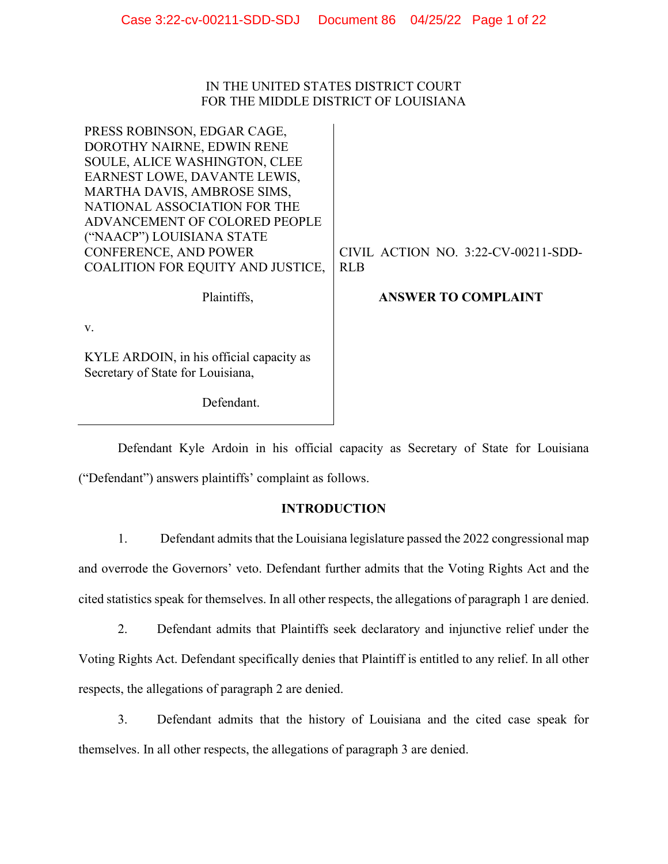# IN THE UNITED STATES DISTRICT COURT FOR THE MIDDLE DISTRICT OF LOUISIANA

| PRESS ROBINSON, EDGAR CAGE,                                                   |                                     |
|-------------------------------------------------------------------------------|-------------------------------------|
| DOROTHY NAIRNE, EDWIN RENE                                                    |                                     |
| SOULE, ALICE WASHINGTON, CLEE                                                 |                                     |
| EARNEST LOWE, DAVANTE LEWIS,                                                  |                                     |
| MARTHA DAVIS, AMBROSE SIMS,                                                   |                                     |
| NATIONAL ASSOCIATION FOR THE                                                  |                                     |
| ADVANCEMENT OF COLORED PEOPLE                                                 |                                     |
| ("NAACP") LOUISIANA STATE                                                     |                                     |
| CONFERENCE, AND POWER                                                         | CIVIL ACTION NO. 3:22-CV-00211-SDD- |
| COALITION FOR EQUITY AND JUSTICE,                                             | <b>RLB</b>                          |
| Plaintiffs,                                                                   | <b>ANSWER TO COMPLAINT</b>          |
| V.                                                                            |                                     |
| KYLE ARDOIN, in his official capacity as<br>Secretary of State for Louisiana, |                                     |
| Defendant.                                                                    |                                     |

Defendant Kyle Ardoin in his official capacity as Secretary of State for Louisiana ("Defendant") answers plaintiffs' complaint as follows.

# **INTRODUCTION**

1. Defendant admits that the Louisiana legislature passed the 2022 congressional map and overrode the Governors' veto. Defendant further admits that the Voting Rights Act and the cited statistics speak for themselves. In all other respects, the allegations of paragraph 1 are denied.

2. Defendant admits that Plaintiffs seek declaratory and injunctive relief under the Voting Rights Act. Defendant specifically denies that Plaintiff is entitled to any relief. In all other respects, the allegations of paragraph 2 are denied.

3. Defendant admits that the history of Louisiana and the cited case speak for themselves. In all other respects, the allegations of paragraph 3 are denied.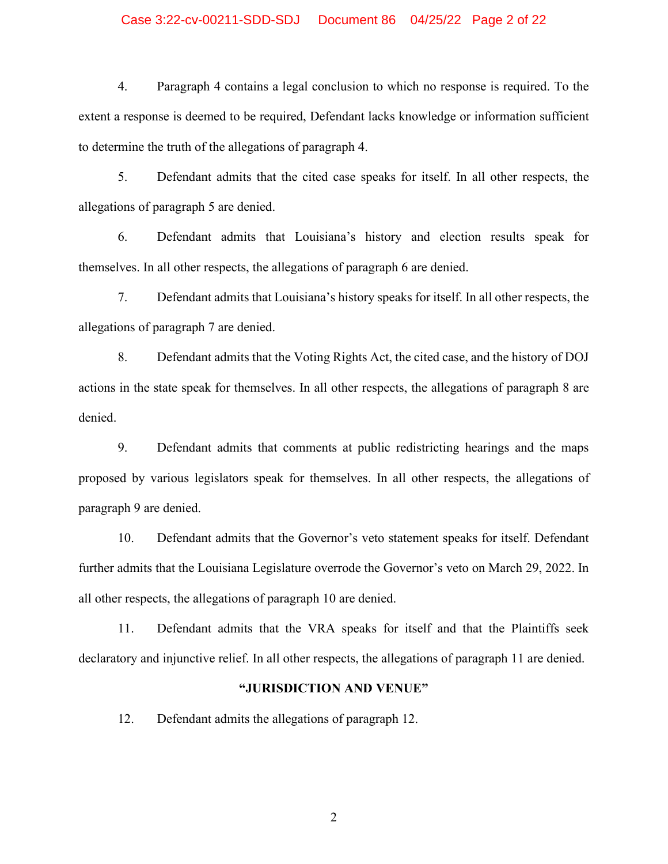### Case 3:22-cv-00211-SDD-SDJ Document 86 04/25/22 Page 2 of 22

4. Paragraph 4 contains a legal conclusion to which no response is required. To the extent a response is deemed to be required, Defendant lacks knowledge or information sufficient to determine the truth of the allegations of paragraph 4.

5. Defendant admits that the cited case speaks for itself. In all other respects, the allegations of paragraph 5 are denied.

6. Defendant admits that Louisiana's history and election results speak for themselves. In all other respects, the allegations of paragraph 6 are denied.

7. Defendant admits that Louisiana's history speaks for itself. In all other respects, the allegations of paragraph 7 are denied.

8. Defendant admits that the Voting Rights Act, the cited case, and the history of DOJ actions in the state speak for themselves. In all other respects, the allegations of paragraph 8 are denied.

9. Defendant admits that comments at public redistricting hearings and the maps proposed by various legislators speak for themselves. In all other respects, the allegations of paragraph 9 are denied.

10. Defendant admits that the Governor's veto statement speaks for itself. Defendant further admits that the Louisiana Legislature overrode the Governor's veto on March 29, 2022. In all other respects, the allegations of paragraph 10 are denied.

11. Defendant admits that the VRA speaks for itself and that the Plaintiffs seek declaratory and injunctive relief. In all other respects, the allegations of paragraph 11 are denied.

#### **"JURISDICTION AND VENUE"**

12. Defendant admits the allegations of paragraph 12.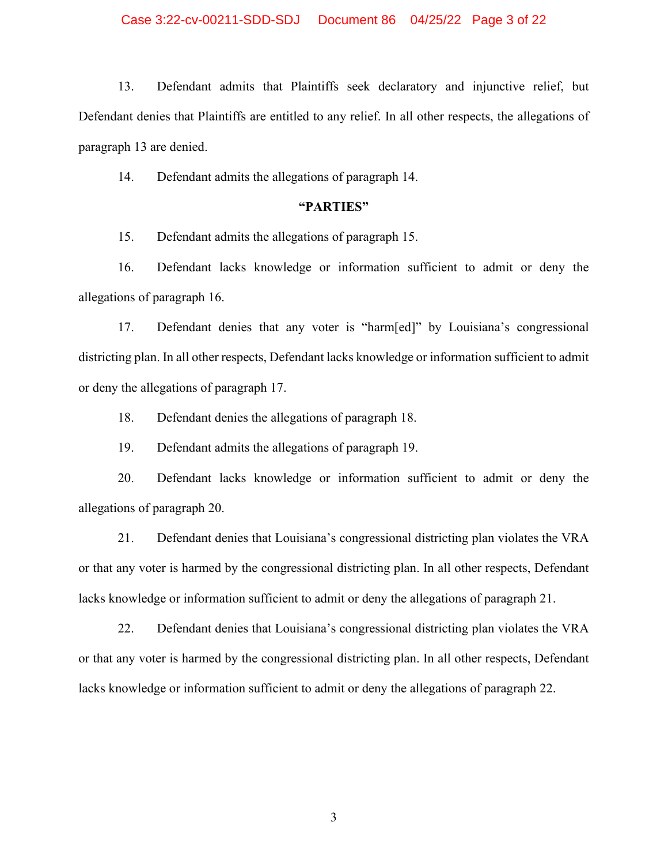13. Defendant admits that Plaintiffs seek declaratory and injunctive relief, but Defendant denies that Plaintiffs are entitled to any relief. In all other respects, the allegations of paragraph 13 are denied.

14. Defendant admits the allegations of paragraph 14.

# **"PARTIES"**

15. Defendant admits the allegations of paragraph 15.

16. Defendant lacks knowledge or information sufficient to admit or deny the allegations of paragraph 16.

17. Defendant denies that any voter is "harm[ed]" by Louisiana's congressional districting plan. In all other respects, Defendant lacks knowledge or information sufficient to admit or deny the allegations of paragraph 17.

18. Defendant denies the allegations of paragraph 18.

19. Defendant admits the allegations of paragraph 19.

20. Defendant lacks knowledge or information sufficient to admit or deny the allegations of paragraph 20.

21. Defendant denies that Louisiana's congressional districting plan violates the VRA or that any voter is harmed by the congressional districting plan. In all other respects, Defendant lacks knowledge or information sufficient to admit or deny the allegations of paragraph 21.

22. Defendant denies that Louisiana's congressional districting plan violates the VRA or that any voter is harmed by the congressional districting plan. In all other respects, Defendant lacks knowledge or information sufficient to admit or deny the allegations of paragraph 22.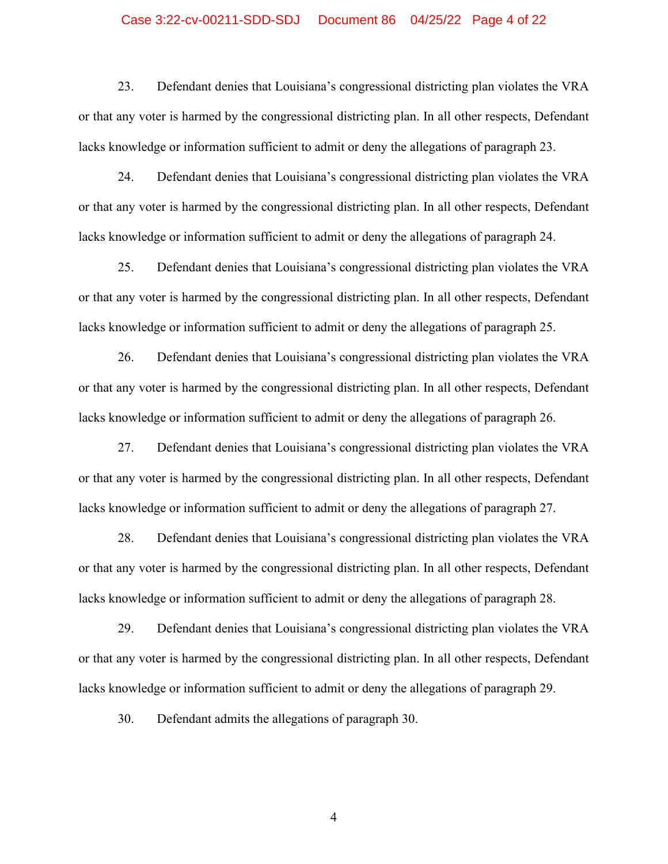#### Case 3:22-cv-00211-SDD-SDJ Document 86 04/25/22 Page 4 of 22

23. Defendant denies that Louisiana's congressional districting plan violates the VRA or that any voter is harmed by the congressional districting plan. In all other respects, Defendant lacks knowledge or information sufficient to admit or deny the allegations of paragraph 23.

24. Defendant denies that Louisiana's congressional districting plan violates the VRA or that any voter is harmed by the congressional districting plan. In all other respects, Defendant lacks knowledge or information sufficient to admit or deny the allegations of paragraph 24.

25. Defendant denies that Louisiana's congressional districting plan violates the VRA or that any voter is harmed by the congressional districting plan. In all other respects, Defendant lacks knowledge or information sufficient to admit or deny the allegations of paragraph 25.

26. Defendant denies that Louisiana's congressional districting plan violates the VRA or that any voter is harmed by the congressional districting plan. In all other respects, Defendant lacks knowledge or information sufficient to admit or deny the allegations of paragraph 26.

27. Defendant denies that Louisiana's congressional districting plan violates the VRA or that any voter is harmed by the congressional districting plan. In all other respects, Defendant lacks knowledge or information sufficient to admit or deny the allegations of paragraph 27.

28. Defendant denies that Louisiana's congressional districting plan violates the VRA or that any voter is harmed by the congressional districting plan. In all other respects, Defendant lacks knowledge or information sufficient to admit or deny the allegations of paragraph 28.

29. Defendant denies that Louisiana's congressional districting plan violates the VRA or that any voter is harmed by the congressional districting plan. In all other respects, Defendant lacks knowledge or information sufficient to admit or deny the allegations of paragraph 29.

30. Defendant admits the allegations of paragraph 30.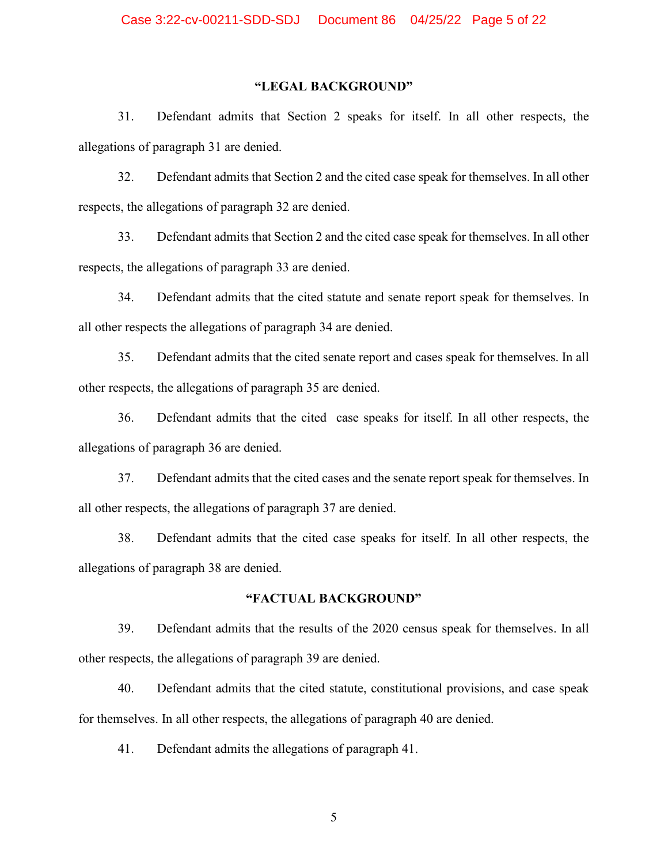# **"LEGAL BACKGROUND"**

31. Defendant admits that Section 2 speaks for itself. In all other respects, the allegations of paragraph 31 are denied.

32. Defendant admits that Section 2 and the cited case speak for themselves. In all other respects, the allegations of paragraph 32 are denied.

33. Defendant admits that Section 2 and the cited case speak for themselves. In all other respects, the allegations of paragraph 33 are denied.

34. Defendant admits that the cited statute and senate report speak for themselves. In all other respects the allegations of paragraph 34 are denied.

35. Defendant admits that the cited senate report and cases speak for themselves. In all other respects, the allegations of paragraph 35 are denied.

36. Defendant admits that the cited case speaks for itself. In all other respects, the allegations of paragraph 36 are denied.

37. Defendant admits that the cited cases and the senate report speak for themselves. In all other respects, the allegations of paragraph 37 are denied.

38. Defendant admits that the cited case speaks for itself. In all other respects, the allegations of paragraph 38 are denied.

#### **"FACTUAL BACKGROUND"**

39. Defendant admits that the results of the 2020 census speak for themselves. In all other respects, the allegations of paragraph 39 are denied.

40. Defendant admits that the cited statute, constitutional provisions, and case speak for themselves. In all other respects, the allegations of paragraph 40 are denied.

41. Defendant admits the allegations of paragraph 41.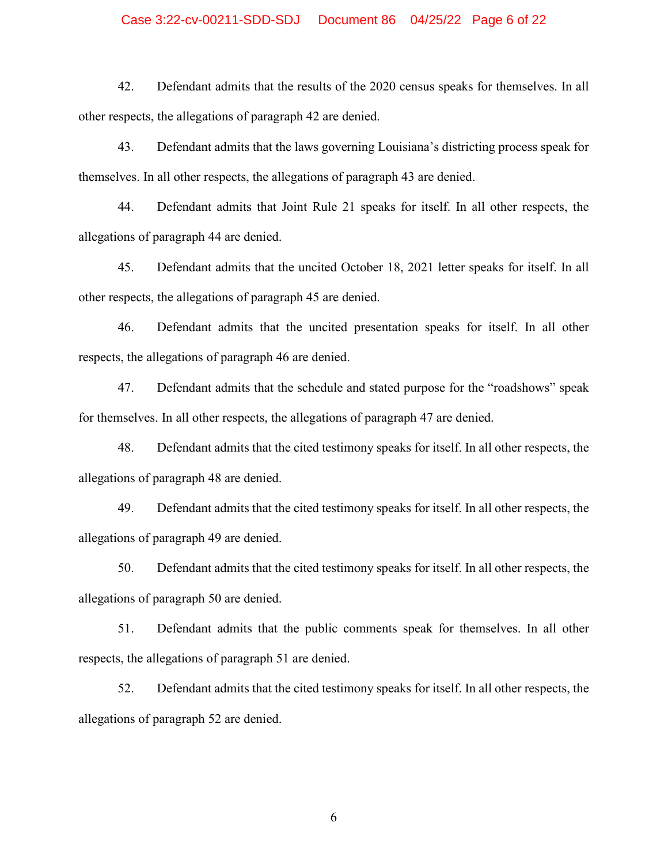#### Case 3:22-cv-00211-SDD-SDJ Document 86 04/25/22 Page 6 of 22

42. Defendant admits that the results of the 2020 census speaks for themselves. In all other respects, the allegations of paragraph 42 are denied.

43. Defendant admits that the laws governing Louisiana's districting process speak for themselves. In all other respects, the allegations of paragraph 43 are denied.

44. Defendant admits that Joint Rule 21 speaks for itself. In all other respects, the allegations of paragraph 44 are denied.

45. Defendant admits that the uncited October 18, 2021 letter speaks for itself. In all other respects, the allegations of paragraph 45 are denied.

46. Defendant admits that the uncited presentation speaks for itself. In all other respects, the allegations of paragraph 46 are denied.

47. Defendant admits that the schedule and stated purpose for the "roadshows" speak for themselves. In all other respects, the allegations of paragraph 47 are denied.

48. Defendant admits that the cited testimony speaks for itself. In all other respects, the allegations of paragraph 48 are denied.

49. Defendant admits that the cited testimony speaks for itself. In all other respects, the allegations of paragraph 49 are denied.

50. Defendant admits that the cited testimony speaks for itself. In all other respects, the allegations of paragraph 50 are denied.

51. Defendant admits that the public comments speak for themselves. In all other respects, the allegations of paragraph 51 are denied.

52. Defendant admits that the cited testimony speaks for itself. In all other respects, the allegations of paragraph 52 are denied.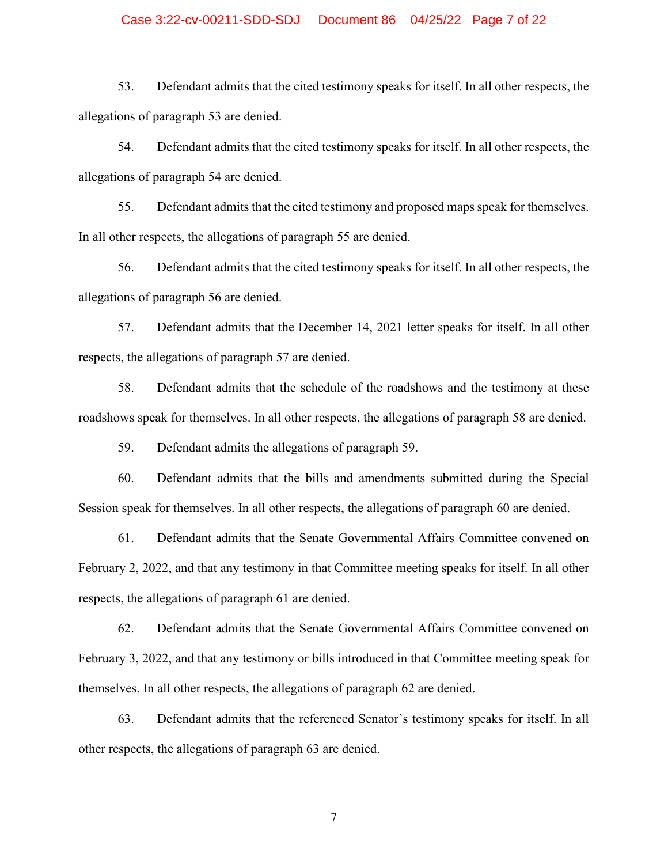#### Case 3:22-cv-00211-SDD-SDJ Document 86 04/25/22 Page 7 of 22

53. Defendant admits that the cited testimony speaks for itself. In all other respects, the allegations of paragraph 53 are denied.

54. Defendant admits that the cited testimony speaks for itself. In all other respects, the allegations of paragraph 54 are denied.

55. Defendant admits that the cited testimony and proposed maps speak for themselves. In all other respects, the allegations of paragraph 55 are denied.

56. Defendant admits that the cited testimony speaks for itself. In all other respects, the allegations of paragraph 56 are denied.

57. Defendant admits that the December 14, 2021 letter speaks for itself. In all other respects, the allegations of paragraph 57 are denied.

58. Defendant admits that the schedule of the roadshows and the testimony at these roadshows speak for themselves. In all other respects, the allegations of paragraph 58 are denied.

59. Defendant admits the allegations of paragraph 59.

60. Defendant admits that the bills and amendments submitted during the Special Session speak for themselves. In all other respects, the allegations of paragraph 60 are denied.

61. Defendant admits that the Senate Governmental Affairs Committee convened on February 2, 2022, and that any testimony in that Committee meeting speaks for itself. In all other respects, the allegations of paragraph 61 are denied.

62. Defendant admits that the Senate Governmental Affairs Committee convened on February 3, 2022, and that any testimony or bills introduced in that Committee meeting speak for themselves. In all other respects, the allegations of paragraph 62 are denied.

63. Defendant admits that the referenced Senator's testimony speaks for itself. In all other respects, the allegations of paragraph 63 are denied.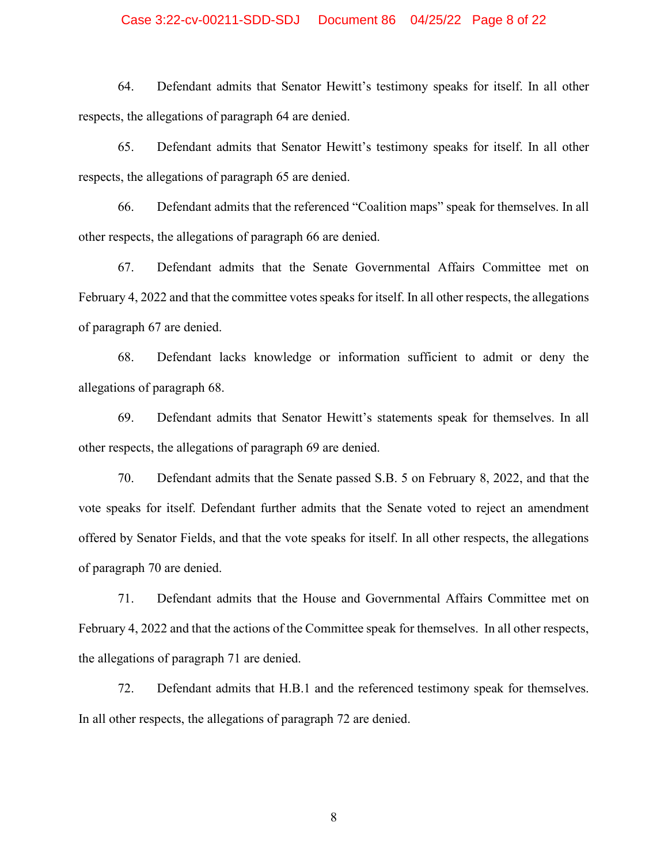### Case 3:22-cv-00211-SDD-SDJ Document 86 04/25/22 Page 8 of 22

64. Defendant admits that Senator Hewitt's testimony speaks for itself. In all other respects, the allegations of paragraph 64 are denied.

65. Defendant admits that Senator Hewitt's testimony speaks for itself. In all other respects, the allegations of paragraph 65 are denied.

66. Defendant admits that the referenced "Coalition maps" speak for themselves. In all other respects, the allegations of paragraph 66 are denied.

67. Defendant admits that the Senate Governmental Affairs Committee met on February 4, 2022 and that the committee votes speaks for itself. In all other respects, the allegations of paragraph 67 are denied.

68. Defendant lacks knowledge or information sufficient to admit or deny the allegations of paragraph 68.

69. Defendant admits that Senator Hewitt's statements speak for themselves. In all other respects, the allegations of paragraph 69 are denied.

70. Defendant admits that the Senate passed S.B. 5 on February 8, 2022, and that the vote speaks for itself. Defendant further admits that the Senate voted to reject an amendment offered by Senator Fields, and that the vote speaks for itself. In all other respects, the allegations of paragraph 70 are denied.

71. Defendant admits that the House and Governmental Affairs Committee met on February 4, 2022 and that the actions of the Committee speak for themselves. In all other respects, the allegations of paragraph 71 are denied.

72. Defendant admits that H.B.1 and the referenced testimony speak for themselves. In all other respects, the allegations of paragraph 72 are denied.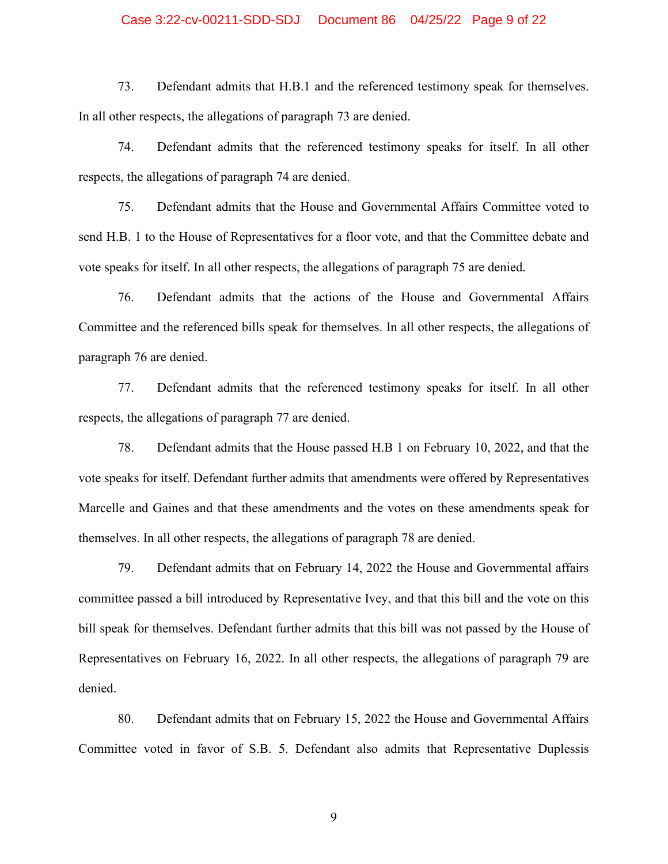#### Case 3:22-cv-00211-SDD-SDJ Document 86 04/25/22 Page 9 of 22

73. Defendant admits that H.B.1 and the referenced testimony speak for themselves. In all other respects, the allegations of paragraph 73 are denied.

74. Defendant admits that the referenced testimony speaks for itself. In all other respects, the allegations of paragraph 74 are denied.

75. Defendant admits that the House and Governmental Affairs Committee voted to send H.B. 1 to the House of Representatives for a floor vote, and that the Committee debate and vote speaks for itself. In all other respects, the allegations of paragraph 75 are denied.

76. Defendant admits that the actions of the House and Governmental Affairs Committee and the referenced bills speak for themselves. In all other respects, the allegations of paragraph 76 are denied.

77. Defendant admits that the referenced testimony speaks for itself. In all other respects, the allegations of paragraph 77 are denied.

78. Defendant admits that the House passed H.B 1 on February 10, 2022, and that the vote speaks for itself. Defendant further admits that amendments were offered by Representatives Marcelle and Gaines and that these amendments and the votes on these amendments speak for themselves. In all other respects, the allegations of paragraph 78 are denied.

79. Defendant admits that on February 14, 2022 the House and Governmental affairs committee passed a bill introduced by Representative Ivey, and that this bill and the vote on this bill speak for themselves. Defendant further admits that this bill was not passed by the House of Representatives on February 16, 2022. In all other respects, the allegations of paragraph 79 are denied.

80. Defendant admits that on February 15, 2022 the House and Governmental Affairs Committee voted in favor of S.B. 5. Defendant also admits that Representative Duplessis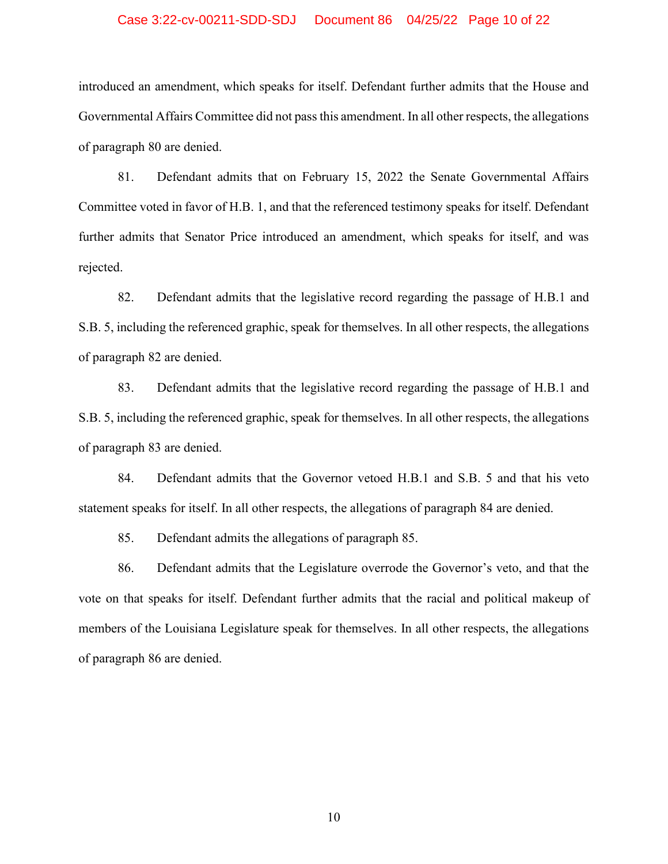#### Case 3:22-cv-00211-SDD-SDJ Document 86 04/25/22 Page 10 of 22

introduced an amendment, which speaks for itself. Defendant further admits that the House and Governmental Affairs Committee did not pass this amendment. In all other respects, the allegations of paragraph 80 are denied.

81. Defendant admits that on February 15, 2022 the Senate Governmental Affairs Committee voted in favor of H.B. 1, and that the referenced testimony speaks for itself. Defendant further admits that Senator Price introduced an amendment, which speaks for itself, and was rejected.

82. Defendant admits that the legislative record regarding the passage of H.B.1 and S.B. 5, including the referenced graphic, speak for themselves. In all other respects, the allegations of paragraph 82 are denied.

83. Defendant admits that the legislative record regarding the passage of H.B.1 and S.B. 5, including the referenced graphic, speak for themselves. In all other respects, the allegations of paragraph 83 are denied.

84. Defendant admits that the Governor vetoed H.B.1 and S.B. 5 and that his veto statement speaks for itself. In all other respects, the allegations of paragraph 84 are denied.

85. Defendant admits the allegations of paragraph 85.

86. Defendant admits that the Legislature overrode the Governor's veto, and that the vote on that speaks for itself. Defendant further admits that the racial and political makeup of members of the Louisiana Legislature speak for themselves. In all other respects, the allegations of paragraph 86 are denied.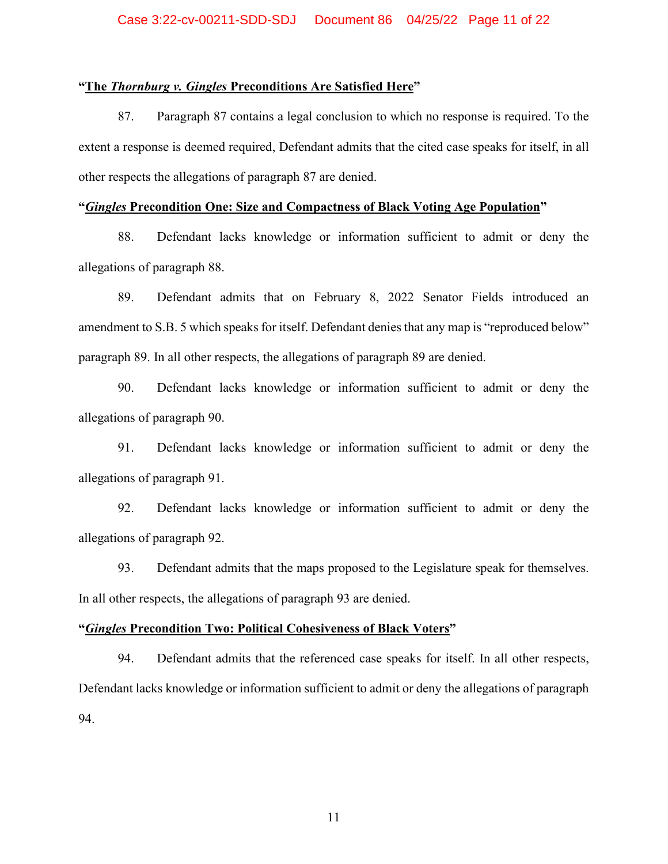#### **"The** *Thornburg v. Gingles* **Preconditions Are Satisfied Here"**

87. Paragraph 87 contains a legal conclusion to which no response is required. To the extent a response is deemed required, Defendant admits that the cited case speaks for itself, in all other respects the allegations of paragraph 87 are denied.

## **"***Gingles* **Precondition One: Size and Compactness of Black Voting Age Population"**

88. Defendant lacks knowledge or information sufficient to admit or deny the allegations of paragraph 88.

89. Defendant admits that on February 8, 2022 Senator Fields introduced an amendment to S.B. 5 which speaks for itself. Defendant denies that any map is "reproduced below" paragraph 89. In all other respects, the allegations of paragraph 89 are denied.

90. Defendant lacks knowledge or information sufficient to admit or deny the allegations of paragraph 90.

91. Defendant lacks knowledge or information sufficient to admit or deny the allegations of paragraph 91.

92. Defendant lacks knowledge or information sufficient to admit or deny the allegations of paragraph 92.

93. Defendant admits that the maps proposed to the Legislature speak for themselves. In all other respects, the allegations of paragraph 93 are denied.

## **"***Gingles* **Precondition Two: Political Cohesiveness of Black Voters"**

94. Defendant admits that the referenced case speaks for itself. In all other respects, Defendant lacks knowledge or information sufficient to admit or deny the allegations of paragraph 94.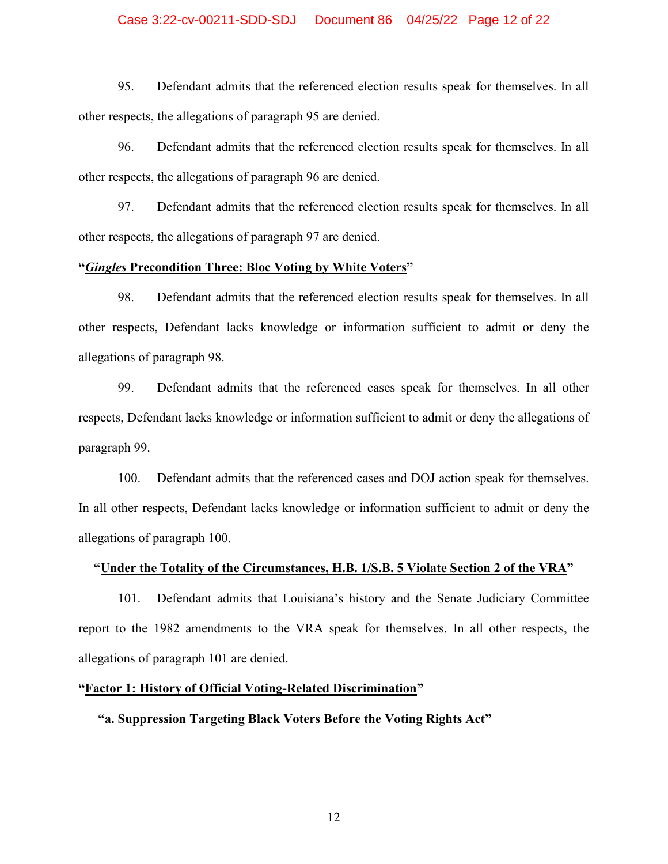### Case 3:22-cv-00211-SDD-SDJ Document 86 04/25/22 Page 12 of 22

95. Defendant admits that the referenced election results speak for themselves. In all other respects, the allegations of paragraph 95 are denied.

96. Defendant admits that the referenced election results speak for themselves. In all other respects, the allegations of paragraph 96 are denied.

97. Defendant admits that the referenced election results speak for themselves. In all other respects, the allegations of paragraph 97 are denied.

# **"***Gingles* **Precondition Three: Bloc Voting by White Voters"**

98. Defendant admits that the referenced election results speak for themselves. In all other respects, Defendant lacks knowledge or information sufficient to admit or deny the allegations of paragraph 98.

99. Defendant admits that the referenced cases speak for themselves. In all other respects, Defendant lacks knowledge or information sufficient to admit or deny the allegations of paragraph 99.

100. Defendant admits that the referenced cases and DOJ action speak for themselves. In all other respects, Defendant lacks knowledge or information sufficient to admit or deny the allegations of paragraph 100.

### **"Under the Totality of the Circumstances, H.B. 1/S.B. 5 Violate Section 2 of the VRA"**

101. Defendant admits that Louisiana's history and the Senate Judiciary Committee report to the 1982 amendments to the VRA speak for themselves. In all other respects, the allegations of paragraph 101 are denied.

#### **"Factor 1: History of Official Voting-Related Discrimination"**

## **"a. Suppression Targeting Black Voters Before the Voting Rights Act"**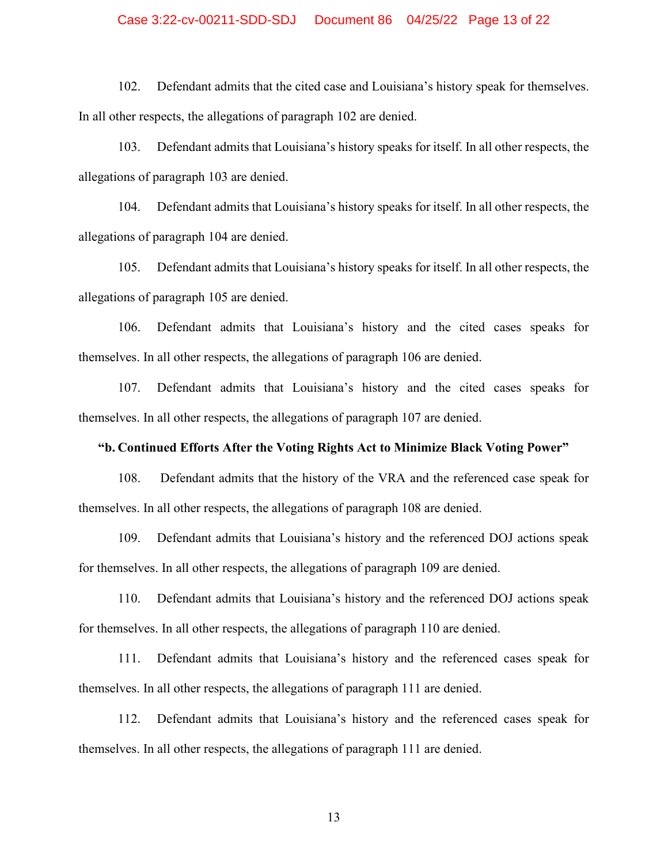### Case 3:22-cv-00211-SDD-SDJ Document 86 04/25/22 Page 13 of 22

102. Defendant admits that the cited case and Louisiana's history speak for themselves. In all other respects, the allegations of paragraph 102 are denied.

103. Defendant admits that Louisiana's history speaks for itself. In all other respects, the allegations of paragraph 103 are denied.

104. Defendant admits that Louisiana's history speaks for itself. In all other respects, the allegations of paragraph 104 are denied.

105. Defendant admits that Louisiana's history speaks for itself. In all other respects, the allegations of paragraph 105 are denied.

106. Defendant admits that Louisiana's history and the cited cases speaks for themselves. In all other respects, the allegations of paragraph 106 are denied.

107. Defendant admits that Louisiana's history and the cited cases speaks for themselves. In all other respects, the allegations of paragraph 107 are denied.

#### **"b. Continued Efforts After the Voting Rights Act to Minimize Black Voting Power"**

108. Defendant admits that the history of the VRA and the referenced case speak for themselves. In all other respects, the allegations of paragraph 108 are denied.

109. Defendant admits that Louisiana's history and the referenced DOJ actions speak for themselves. In all other respects, the allegations of paragraph 109 are denied.

110. Defendant admits that Louisiana's history and the referenced DOJ actions speak for themselves. In all other respects, the allegations of paragraph 110 are denied.

111. Defendant admits that Louisiana's history and the referenced cases speak for themselves. In all other respects, the allegations of paragraph 111 are denied.

112. Defendant admits that Louisiana's history and the referenced cases speak for themselves. In all other respects, the allegations of paragraph 111 are denied.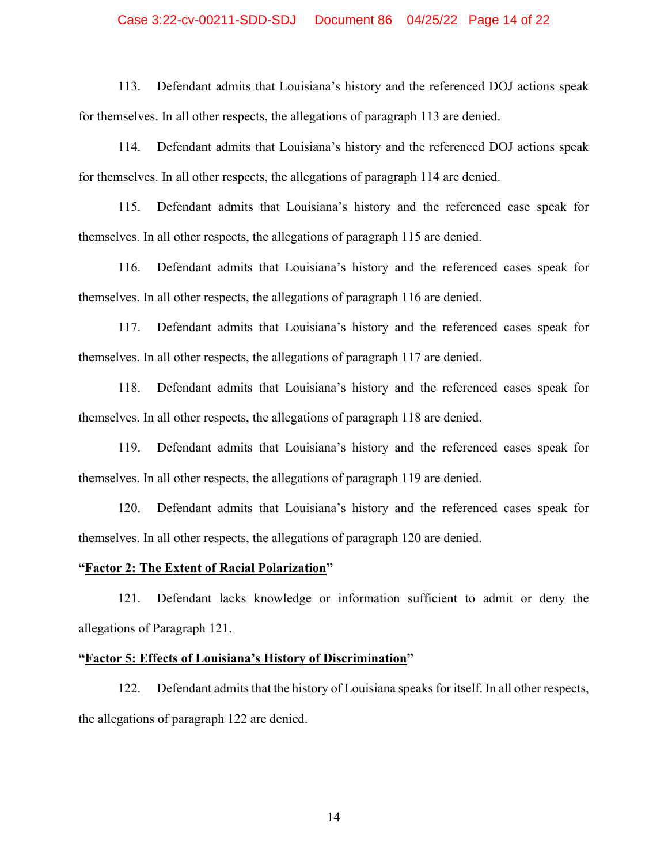### Case 3:22-cv-00211-SDD-SDJ Document 86 04/25/22 Page 14 of 22

113. Defendant admits that Louisiana's history and the referenced DOJ actions speak for themselves. In all other respects, the allegations of paragraph 113 are denied.

114. Defendant admits that Louisiana's history and the referenced DOJ actions speak for themselves. In all other respects, the allegations of paragraph 114 are denied.

115. Defendant admits that Louisiana's history and the referenced case speak for themselves. In all other respects, the allegations of paragraph 115 are denied.

116. Defendant admits that Louisiana's history and the referenced cases speak for themselves. In all other respects, the allegations of paragraph 116 are denied.

117. Defendant admits that Louisiana's history and the referenced cases speak for themselves. In all other respects, the allegations of paragraph 117 are denied.

118. Defendant admits that Louisiana's history and the referenced cases speak for themselves. In all other respects, the allegations of paragraph 118 are denied.

119. Defendant admits that Louisiana's history and the referenced cases speak for themselves. In all other respects, the allegations of paragraph 119 are denied.

120. Defendant admits that Louisiana's history and the referenced cases speak for themselves. In all other respects, the allegations of paragraph 120 are denied.

### **"Factor 2: The Extent of Racial Polarization"**

121. Defendant lacks knowledge or information sufficient to admit or deny the allegations of Paragraph 121.

#### **"Factor 5: Effects of Louisiana's History of Discrimination"**

122. Defendant admits that the history of Louisiana speaks for itself. In all other respects, the allegations of paragraph 122 are denied.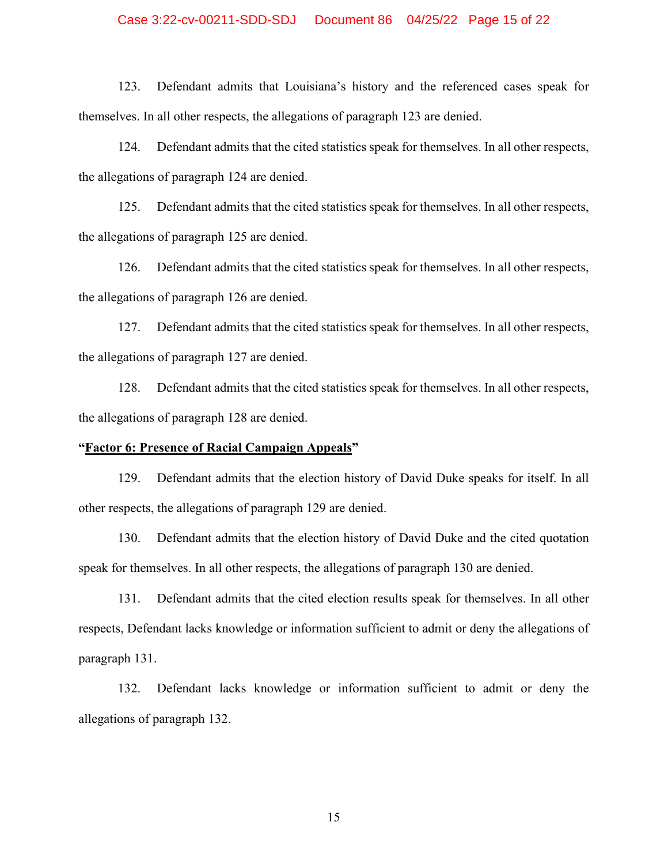### Case 3:22-cv-00211-SDD-SDJ Document 86 04/25/22 Page 15 of 22

123. Defendant admits that Louisiana's history and the referenced cases speak for themselves. In all other respects, the allegations of paragraph 123 are denied.

124. Defendant admits that the cited statistics speak for themselves. In all other respects, the allegations of paragraph 124 are denied.

125. Defendant admits that the cited statistics speak for themselves. In all other respects, the allegations of paragraph 125 are denied.

126. Defendant admits that the cited statistics speak for themselves. In all other respects, the allegations of paragraph 126 are denied.

127. Defendant admits that the cited statistics speak for themselves. In all other respects, the allegations of paragraph 127 are denied.

128. Defendant admits that the cited statistics speak for themselves. In all other respects, the allegations of paragraph 128 are denied.

### **"Factor 6: Presence of Racial Campaign Appeals"**

129. Defendant admits that the election history of David Duke speaks for itself. In all other respects, the allegations of paragraph 129 are denied.

130. Defendant admits that the election history of David Duke and the cited quotation speak for themselves. In all other respects, the allegations of paragraph 130 are denied.

131. Defendant admits that the cited election results speak for themselves. In all other respects, Defendant lacks knowledge or information sufficient to admit or deny the allegations of paragraph 131.

132. Defendant lacks knowledge or information sufficient to admit or deny the allegations of paragraph 132.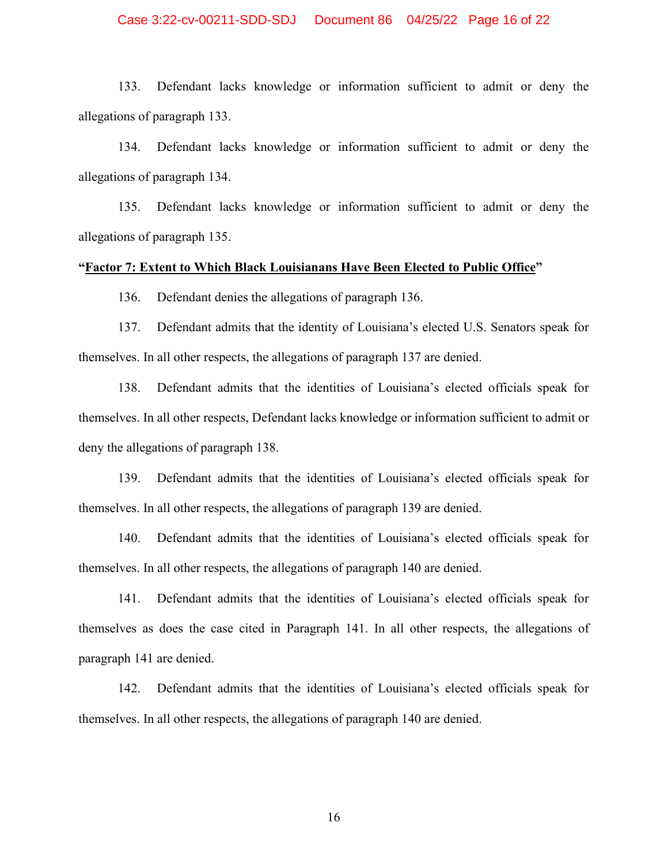### Case 3:22-cv-00211-SDD-SDJ Document 86 04/25/22 Page 16 of 22

133. Defendant lacks knowledge or information sufficient to admit or deny the allegations of paragraph 133.

134. Defendant lacks knowledge or information sufficient to admit or deny the allegations of paragraph 134.

135. Defendant lacks knowledge or information sufficient to admit or deny the allegations of paragraph 135.

## **"Factor 7: Extent to Which Black Louisianans Have Been Elected to Public Office"**

136. Defendant denies the allegations of paragraph 136.

137. Defendant admits that the identity of Louisiana's elected U.S. Senators speak for themselves. In all other respects, the allegations of paragraph 137 are denied.

138. Defendant admits that the identities of Louisiana's elected officials speak for themselves. In all other respects, Defendant lacks knowledge or information sufficient to admit or deny the allegations of paragraph 138.

139. Defendant admits that the identities of Louisiana's elected officials speak for themselves. In all other respects, the allegations of paragraph 139 are denied.

140. Defendant admits that the identities of Louisiana's elected officials speak for themselves. In all other respects, the allegations of paragraph 140 are denied.

141. Defendant admits that the identities of Louisiana's elected officials speak for themselves as does the case cited in Paragraph 141. In all other respects, the allegations of paragraph 141 are denied.

142. Defendant admits that the identities of Louisiana's elected officials speak for themselves. In all other respects, the allegations of paragraph 140 are denied.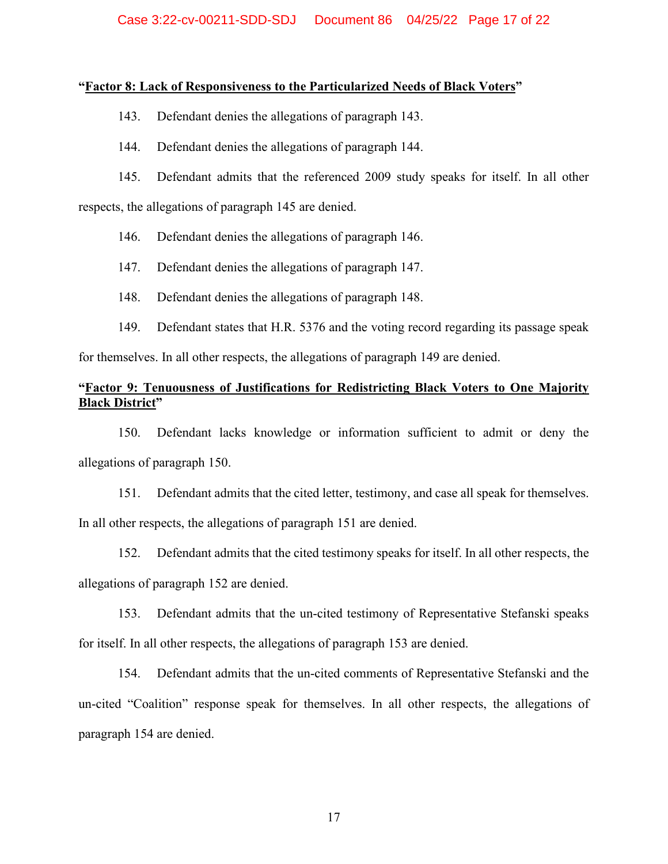## **"Factor 8: Lack of Responsiveness to the Particularized Needs of Black Voters"**

- 143. Defendant denies the allegations of paragraph 143.
- 144. Defendant denies the allegations of paragraph 144.
- 145. Defendant admits that the referenced 2009 study speaks for itself. In all other

respects, the allegations of paragraph 145 are denied.

- 146. Defendant denies the allegations of paragraph 146.
- 147. Defendant denies the allegations of paragraph 147.
- 148. Defendant denies the allegations of paragraph 148.
- 149. Defendant states that H.R. 5376 and the voting record regarding its passage speak

for themselves. In all other respects, the allegations of paragraph 149 are denied.

# **"Factor 9: Tenuousness of Justifications for Redistricting Black Voters to One Majority Black District"**

150. Defendant lacks knowledge or information sufficient to admit or deny the allegations of paragraph 150.

151. Defendant admits that the cited letter, testimony, and case all speak for themselves. In all other respects, the allegations of paragraph 151 are denied.

152. Defendant admits that the cited testimony speaks for itself. In all other respects, the allegations of paragraph 152 are denied.

153. Defendant admits that the un-cited testimony of Representative Stefanski speaks for itself. In all other respects, the allegations of paragraph 153 are denied.

154. Defendant admits that the un-cited comments of Representative Stefanski and the un-cited "Coalition" response speak for themselves. In all other respects, the allegations of paragraph 154 are denied.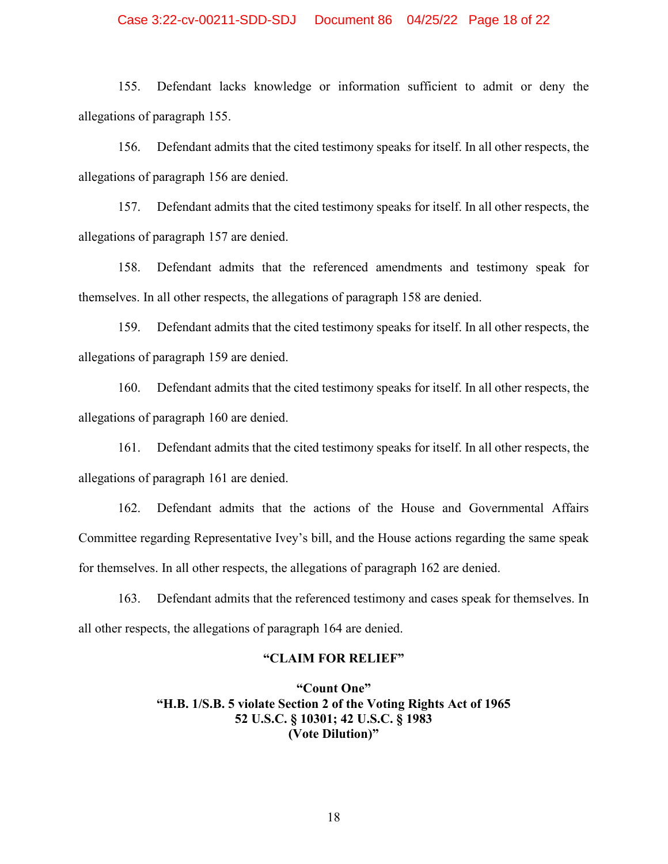### Case 3:22-cv-00211-SDD-SDJ Document 86 04/25/22 Page 18 of 22

155. Defendant lacks knowledge or information sufficient to admit or deny the allegations of paragraph 155.

156. Defendant admits that the cited testimony speaks for itself. In all other respects, the allegations of paragraph 156 are denied.

157. Defendant admits that the cited testimony speaks for itself. In all other respects, the allegations of paragraph 157 are denied.

158. Defendant admits that the referenced amendments and testimony speak for themselves. In all other respects, the allegations of paragraph 158 are denied.

159. Defendant admits that the cited testimony speaks for itself. In all other respects, the allegations of paragraph 159 are denied.

160. Defendant admits that the cited testimony speaks for itself. In all other respects, the allegations of paragraph 160 are denied.

161. Defendant admits that the cited testimony speaks for itself. In all other respects, the allegations of paragraph 161 are denied.

162. Defendant admits that the actions of the House and Governmental Affairs Committee regarding Representative Ivey's bill, and the House actions regarding the same speak for themselves. In all other respects, the allegations of paragraph 162 are denied.

163. Defendant admits that the referenced testimony and cases speak for themselves. In all other respects, the allegations of paragraph 164 are denied.

#### **"CLAIM FOR RELIEF"**

**"Count One" "H.B. 1/S.B. 5 violate Section 2 of the Voting Rights Act of 1965 52 U.S.C. § 10301; 42 U.S.C. § 1983 (Vote Dilution)"**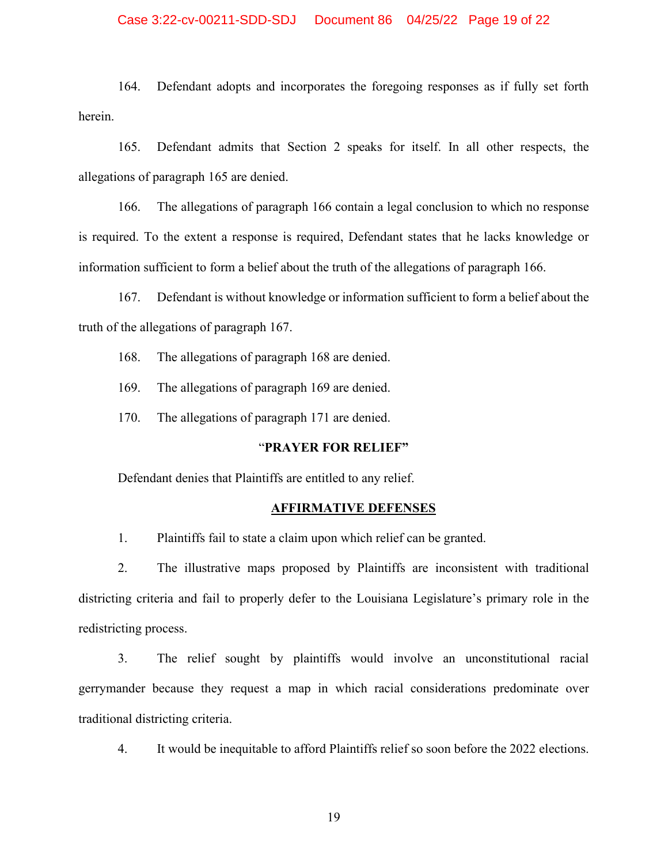## Case 3:22-cv-00211-SDD-SDJ Document 86 04/25/22 Page 19 of 22

164. Defendant adopts and incorporates the foregoing responses as if fully set forth herein.

165. Defendant admits that Section 2 speaks for itself. In all other respects, the allegations of paragraph 165 are denied.

166. The allegations of paragraph 166 contain a legal conclusion to which no response is required. To the extent a response is required, Defendant states that he lacks knowledge or information sufficient to form a belief about the truth of the allegations of paragraph 166.

167. Defendant is without knowledge or information sufficient to form a belief about the truth of the allegations of paragraph 167.

168. The allegations of paragraph 168 are denied.

169. The allegations of paragraph 169 are denied.

170. The allegations of paragraph 171 are denied.

#### "**PRAYER FOR RELIEF"**

Defendant denies that Plaintiffs are entitled to any relief.

#### **AFFIRMATIVE DEFENSES**

1. Plaintiffs fail to state a claim upon which relief can be granted.

2. The illustrative maps proposed by Plaintiffs are inconsistent with traditional districting criteria and fail to properly defer to the Louisiana Legislature's primary role in the redistricting process.

3. The relief sought by plaintiffs would involve an unconstitutional racial gerrymander because they request a map in which racial considerations predominate over traditional districting criteria.

4. It would be inequitable to afford Plaintiffs relief so soon before the 2022 elections.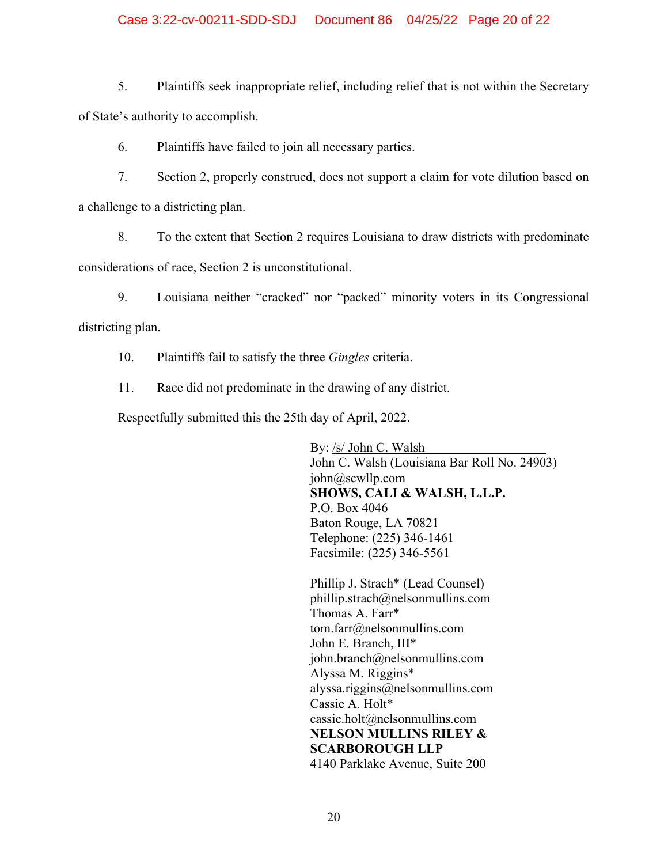# Case 3:22-cv-00211-SDD-SDJ Document 86 04/25/22 Page 20 of 22

5. Plaintiffs seek inappropriate relief, including relief that is not within the Secretary of State's authority to accomplish.

6. Plaintiffs have failed to join all necessary parties.

7. Section 2, properly construed, does not support a claim for vote dilution based on a challenge to a districting plan.

8. To the extent that Section 2 requires Louisiana to draw districts with predominate considerations of race, Section 2 is unconstitutional.

9. Louisiana neither "cracked" nor "packed" minority voters in its Congressional districting plan.

10. Plaintiffs fail to satisfy the three *Gingles* criteria.

11. Race did not predominate in the drawing of any district.

Respectfully submitted this the 25th day of April, 2022.

By: /s/ John C. Walsh John C. Walsh (Louisiana Bar Roll No. 24903) john@scwllp.com **SHOWS, CALI & WALSH, L.L.P.**  P.O. Box 4046 Baton Rouge, LA 70821 Telephone: (225) 346-1461 Facsimile: (225) 346-5561

Phillip J. Strach\* (Lead Counsel) phillip.strach@nelsonmullins.com Thomas A. Farr\* tom.farr@nelsonmullins.com John E. Branch, III\* john.branch@nelsonmullins.com Alyssa M. Riggins\* alyssa.riggins@nelsonmullins.com Cassie A. Holt\* cassie.holt@nelsonmullins.com **NELSON MULLINS RILEY & SCARBOROUGH LLP**  4140 Parklake Avenue, Suite 200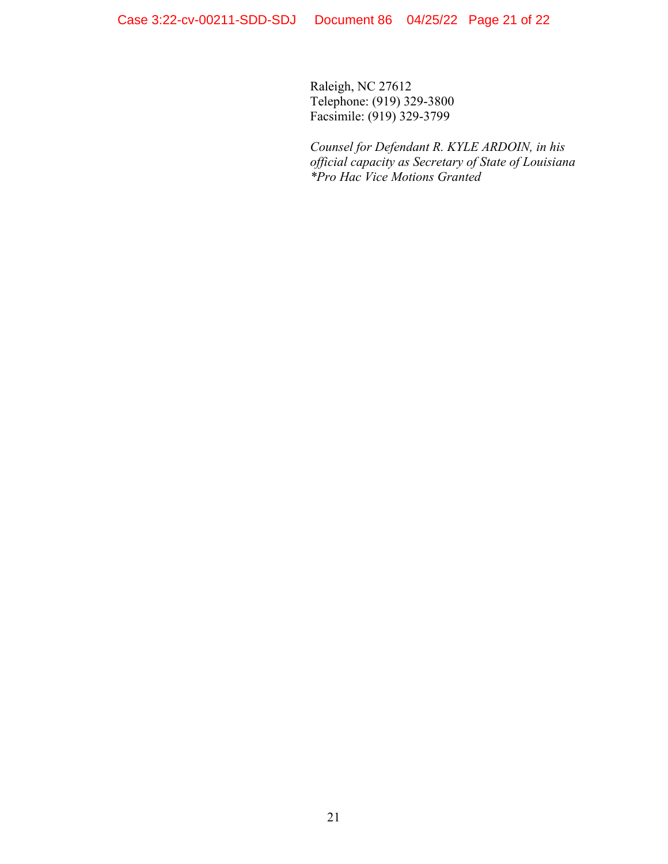Raleigh, NC 27612 Telephone: (919) 329-3800 Facsimile: (919) 329-3799

*Counsel for Defendant R. KYLE ARDOIN, in his official capacity as Secretary of State of Louisiana \*Pro Hac Vice Motions Granted*